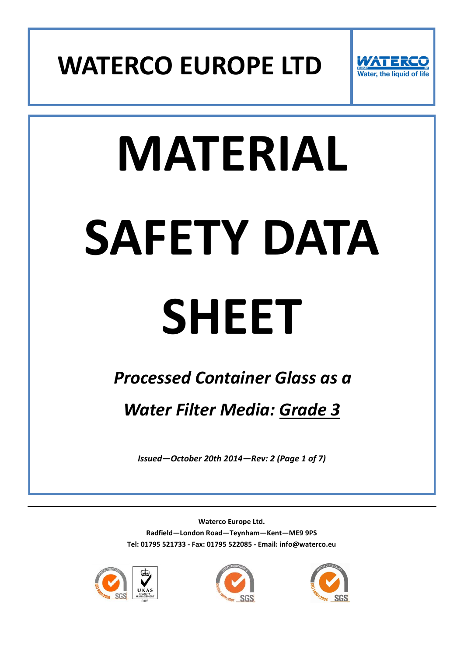



# **MATERIAL SAFETY DATA**

## **SHEET**

### *Processed Container Glass as a*

*Water Filter Media: Grade 3*

*Issued—October 20th 2014—Rev: 2 (Page 1 of 7)*





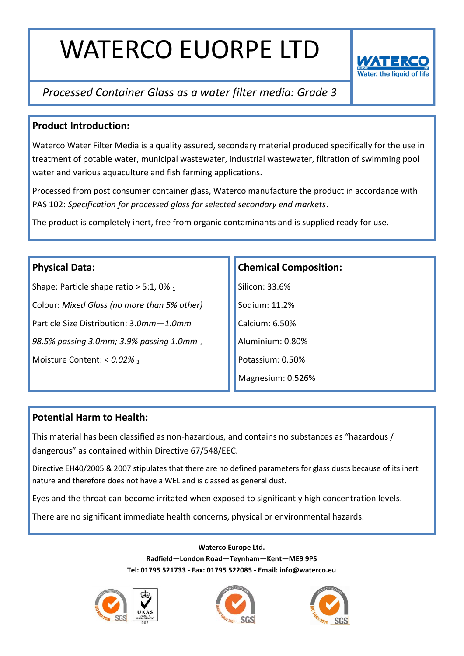

#### *Processed Container Glass as a water filter media: Grade 3*

#### **Product Introduction:**

Waterco Water Filter Media is a quality assured, secondary material produced specifically for the use in treatment of potable water, municipal wastewater, industrial wastewater, filtration of swimming pool water and various aquaculture and fish farming applications.

Processed from post consumer container glass, Waterco manufacture the product in accordance with PAS 102: *Specification for processed glass for selected secondary end markets*.

The product is completely inert, free from organic contaminants and is supplied ready for use.

#### **Physical Data:**

Shape: Particle shape ratio  $> 5:1,0\%$  1 Colour: *Mixed Glass (no more than 5% other)* Particle Size Distribution: 3.*0mm—1.0mm 98.5% passing 3.0mm; 3.9% passing 1.0mm* <sup>2</sup> Moisture Content: <  $0.02\%$  3

#### **Chemical Composition:**

Silicon: 33.6% Sodium: 11.2% Calcium: 6.50% Aluminium: 0.80% Potassium: 0.50% Magnesium: 0.526%

#### **Potential Harm to Health:**

This material has been classified as non-hazardous, and contains no substances as "hazardous / dangerous" as contained within Directive 67/548/EEC.

Directive EH40/2005 & 2007 stipulates that there are no defined parameters for glass dusts because of its inert nature and therefore does not have a WEL and is classed as general dust.

Eyes and the throat can become irritated when exposed to significantly high concentration levels.

There are no significant immediate health concerns, physical or environmental hazards.





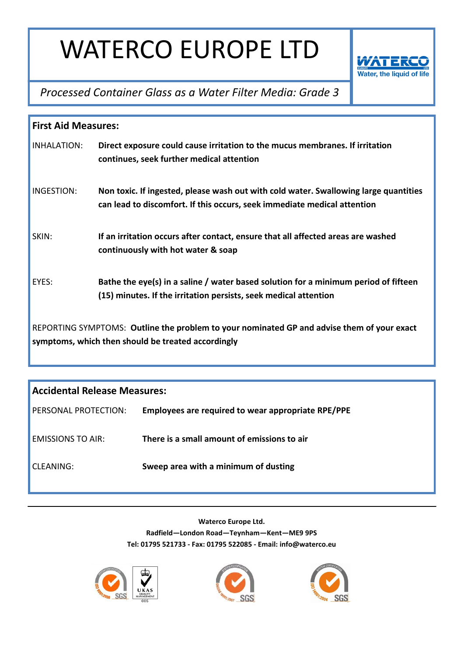

*Processed Container Glass as a Water Filter Media: Grade 3*

| <b>First Aid Measures:</b>                                                                                                                       |                                                                                                                                                                  |  |
|--------------------------------------------------------------------------------------------------------------------------------------------------|------------------------------------------------------------------------------------------------------------------------------------------------------------------|--|
| INHALATION:                                                                                                                                      | Direct exposure could cause irritation to the mucus membranes. If irritation<br>continues, seek further medical attention                                        |  |
| INGESTION:                                                                                                                                       | Non toxic. If ingested, please wash out with cold water. Swallowing large quantities<br>can lead to discomfort. If this occurs, seek immediate medical attention |  |
| SKIN:                                                                                                                                            | If an irritation occurs after contact, ensure that all affected areas are washed<br>continuously with hot water & soap                                           |  |
| EYES:                                                                                                                                            | Bathe the eye(s) in a saline / water based solution for a minimum period of fifteen<br>(15) minutes. If the irritation persists, seek medical attention          |  |
| REPORTING SYMPTOMS: Outline the problem to your nominated GP and advise them of your exact<br>symptoms, which then should be treated accordingly |                                                                                                                                                                  |  |

| <b>Accidental Release Measures:</b> |                                                    |  |
|-------------------------------------|----------------------------------------------------|--|
| PERSONAL PROTECTION:                | Employees are required to wear appropriate RPE/PPE |  |
| <b>EMISSIONS TO AIR:</b>            | There is a small amount of emissions to air        |  |
| CLEANING:                           | Sweep area with a minimum of dusting               |  |





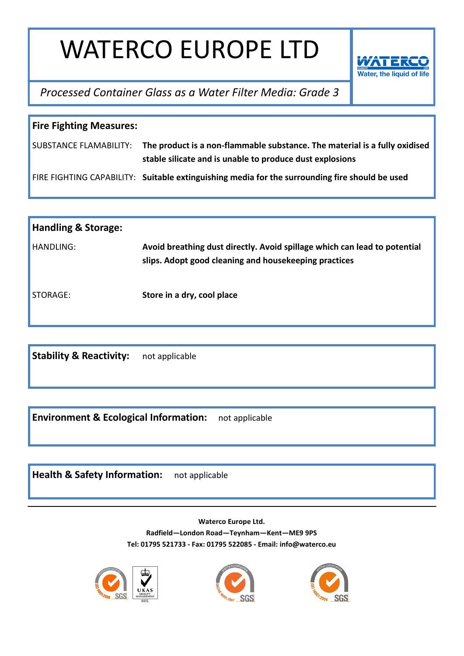

*Processed Container Glass as a Water Filter Media: Grade 3*

| <b>Fire Fighting Measures:</b> |                                                                                                                                                               |  |
|--------------------------------|---------------------------------------------------------------------------------------------------------------------------------------------------------------|--|
|                                | SUBSTANCE FLAMABILITY: The product is a non-flammable substance. The material is a fully oxidised<br>stable silicate and is unable to produce dust explosions |  |
|                                | FIRE FIGHTING CAPABILITY: Suitable extinguishing media for the surrounding fire should be used                                                                |  |

| <b>Handling &amp; Storage:</b> |                                                                                                                                    |
|--------------------------------|------------------------------------------------------------------------------------------------------------------------------------|
| HANDLING:                      | Avoid breathing dust directly. Avoid spillage which can lead to potential<br>slips. Adopt good cleaning and housekeeping practices |
| STORAGE:                       | Store in a dry, cool place                                                                                                         |

**Stability & Reactivity:** not applicable

**Environment & Ecological Information:** not applicable

**Health & Safety Information:** not applicable





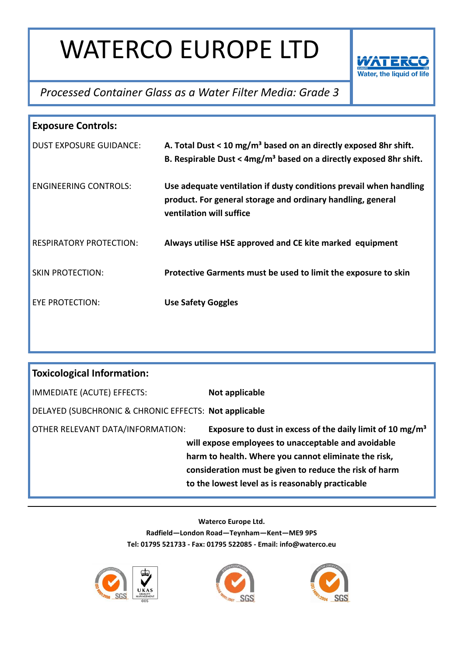

#### *Processed Container Glass as a Water Filter Media: Grade 3*

| <b>Exposure Controls:</b>                                                                                                                            |  |  |
|------------------------------------------------------------------------------------------------------------------------------------------------------|--|--|
| A. Total Dust < 10 mg/m <sup>3</sup> based on an directly exposed 8hr shift.<br>B. Respirable Dust < $4mg/m3$ based on a directly exposed 8hr shift. |  |  |
| Use adequate ventilation if dusty conditions prevail when handling<br>product. For general storage and ordinary handling, general                    |  |  |
| Always utilise HSE approved and CE kite marked equipment                                                                                             |  |  |
| Protective Garments must be used to limit the exposure to skin                                                                                       |  |  |
|                                                                                                                                                      |  |  |
|                                                                                                                                                      |  |  |

| <b>Toxicological Information:</b>                     |                                                                                                                                                                                                                                                                                                    |  |
|-------------------------------------------------------|----------------------------------------------------------------------------------------------------------------------------------------------------------------------------------------------------------------------------------------------------------------------------------------------------|--|
| IMMEDIATE (ACUTE) EFFECTS:                            | Not applicable                                                                                                                                                                                                                                                                                     |  |
| DELAYED (SUBCHRONIC & CHRONIC EFFECTS: Not applicable |                                                                                                                                                                                                                                                                                                    |  |
| OTHER RELEVANT DATA/INFORMATION:                      | Exposure to dust in excess of the daily limit of 10 mg/m <sup>3</sup><br>will expose employees to unacceptable and avoidable<br>harm to health. Where you cannot eliminate the risk,<br>consideration must be given to reduce the risk of harm<br>to the lowest level as is reasonably practicable |  |





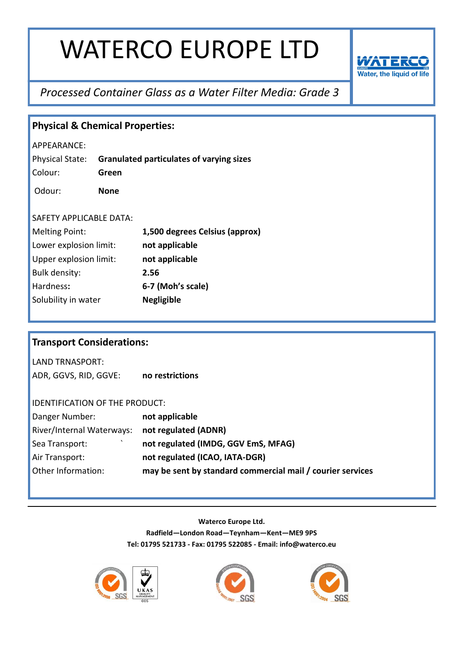

#### *Processed Container Glass as a Water Filter Media: Grade 3*

| <b>Physical &amp; Chemical Properties:</b> |             |                                                            |
|--------------------------------------------|-------------|------------------------------------------------------------|
| APPEARANCE:                                |             |                                                            |
| Physical State:                            |             | <b>Granulated particulates of varying sizes</b>            |
| Colour:                                    | Green       |                                                            |
| Odour:                                     | <b>None</b> |                                                            |
|                                            |             |                                                            |
| SAFETY APPLICABLE DATA:                    |             |                                                            |
| <b>Melting Point:</b>                      |             | 1,500 degrees Celsius (approx)                             |
| Lower explosion limit:                     |             | not applicable                                             |
| Upper explosion limit:                     |             | not applicable                                             |
| Bulk density:                              |             | 2.56                                                       |
| Hardness:                                  |             | 6-7 (Moh's scale)                                          |
| Solubility in water                        |             | <b>Negligible</b>                                          |
|                                            |             |                                                            |
|                                            |             |                                                            |
| <b>Transport Considerations:</b>           |             |                                                            |
| <b>LAND TRNASPORT:</b>                     |             |                                                            |
| ADR, GGVS, RID, GGVE:                      |             | no restrictions                                            |
|                                            |             |                                                            |
| IDENTIFICATION OF THE PRODUCT:             |             |                                                            |
| Danger Number:                             |             | not applicable                                             |
| River/Internal Waterways:                  |             | not regulated (ADNR)                                       |
| Sea Transport:                             |             | not regulated (IMDG, GGV EmS, MFAG)                        |
| Air Transport:                             |             | not regulated (ICAO, IATA-DGR)                             |
| Other Information:                         |             | may be sent by standard commercial mail / courier services |